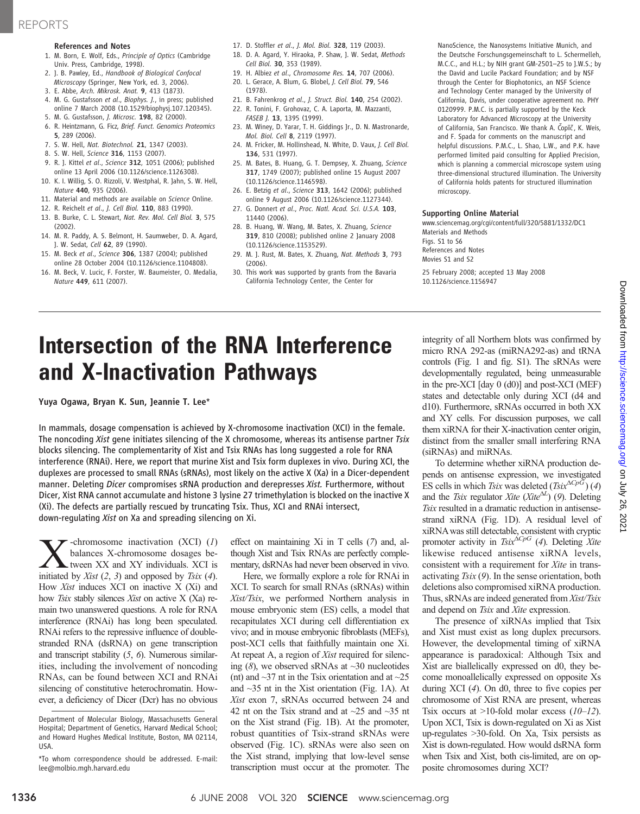### References and Notes

- 1. M. Born, E. Wolf, Eds., Principle of Optics (Cambridge Univ. Press, Cambridge, 1998).
- 2. J. B. Pawley, Ed., Handbook of Biological Confocal Microscopy (Springer, New York, ed. 3, 2006).
- 3. E. Abbe, Arch. Mikrosk. Anat. 9, 413 (1873).
- 4. M. G. Gustafsson et al., Biophys. J., in press; published online 7 March 2008 (10.1529/biophysj.107.120345).
- 5. M. G. Gustafsson, J. Microsc. 198, 82 (2000). 6. R. Heintzmann, G. Ficz, Brief. Funct. Genomics Proteomics
- 5, 289 (2006). 7. S. W. Hell, Nat. Biotechnol. 21, 1347 (2003).
- 8. S. W. Hell, Science 316, 1153 (2007).
- 9. R. J. Kittel et al., Science 312, 1051 (2006); published online 13 April 2006 (10.1126/science.1126308).
- 10. K. I. Willig, S. O. Rizzoli, V. Westphal, R. Jahn, S. W. Hell, Nature 440, 935 (2006).
- 11. Material and methods are available on Science Online.
- 12. R. Reichelt et al., J. Cell Biol. 110, 883 (1990).
- 13. B. Burke, C. L. Stewart, Nat. Rev. Mol. Cell Biol. 3, 575 (2002).
- 14. M. R. Paddy, A. S. Belmont, H. Saumweber, D. A. Agard, J. W. Sedat, Cell 62, 89 (1990).
- 15. M. Beck et al., Science 306, 1387 (2004); published online 28 October 2004 (10.1126/science.1104808).
- 16. M. Beck, V. Lucic, F. Forster, W. Baumeister, O. Medalia, Nature 449, 611 (2007).
- 17. D. Stoffler et al., J. Mol. Biol. 328, 119 (2003).
- 18. D. A. Agard, Y. Hiraoka, P. Shaw, J. W. Sedat, Methods Cell Biol. 30, 353 (1989).
- 19. H. Albiez et al., Chromosome Res. 14, 707 (2006).
- 20. L. Gerace, A. Blum, G. Blobel, J. Cell Biol. 79, 546
- (1978).
- 21. B. Fahrenkrog et al., J. Struct. Biol. 140, 254 (2002). 22. R. Tonini, F. Grohovaz, C. A. Laporta, M. Mazzanti, FASEB J. 13, 1395 (1999).
- 23. M. Winey, D. Yarar, T. H. Giddings Jr., D. N. Mastronarde, Mol. Biol. Cell 8, 2119 (1997).
- 24. M. Fricker, M. Hollinshead, N. White, D. Vaux, J. Cell Biol. 136, 531 (1997).
- 25. M. Bates, B. Huang, G. T. Dempsey, X. Zhuang, Science 317, 1749 (2007); published online 15 August 2007 (10.1126/science.1146598).
- 26. E. Betzig et al., Science 313, 1642 (2006); published online 9 August 2006 (10.1126/science.1127344).
- 27. G. Donnert et al., Proc. Natl. Acad. Sci. U.S.A. 103, 11440 (2006).
- 28. B. Huang, W. Wang, M. Bates, X. Zhuang, Science 319, 810 (2008); published online 2 January 2008 (10.1126/science.1153529).
- 29. M. J. Rust, M. Bates, X. Zhuang, Nat. Methods 3, 793 (2006).
- 30. This work was supported by grants from the Bavaria California Technology Center, the Center for

NanoScience, the Nanosystems Initiative Munich, and the Deutsche Forschungsgemeinschaft to L. Schermelleh, M.C.C., and H.L.; by NIH grant GM-2501–25 to J.W.S.; by the David and Lucile Packard Foundation; and by NSF through the Center for Biophotonics, an NSF Science and Technology Center managed by the University of California, Davis, under cooperative agreement no. PHY 0120999. P.M.C. is partially supported by the Keck Laboratory for Advanced Microscopy at the University of California, San Francisco. We thank A. Čopïč, K. Weis, and F. Spada for comments on the manuscript and helpful discussions. P.M.C., L. Shao, L.W., and P.K. have performed limited paid consulting for Applied Precision, which is planning a commercial microscope system using three-dimensional structured illumination. The University of California holds patents for structured illumination microscopy.

### Supporting Online Material

www.sciencemag.org/cgi/content/full/320/5881/1332/DC1 Materials and Methods Figs. S1 to S6 References and Notes Movies S1 and S2 25 February 2008; accepted 13 May 2008

10.1126/science.1156947

# Intersection of the RNA Interference and X-Inactivation Pathways

Yuya Ogawa, Bryan K. Sun, Jeannie T. Lee\*

In mammals, dosage compensation is achieved by X-chromosome inactivation (XCI) in the female. The noncoding Xist gene initiates silencing of the X chromosome, whereas its antisense partner Tsix blocks silencing. The complementarity of Xist and Tsix RNAs has long suggested a role for RNA interference (RNAi). Here, we report that murine Xist and Tsix form duplexes in vivo. During XCI, the duplexes are processed to small RNAs (sRNAs), most likely on the active X (Xa) in a Dicer-dependent manner. Deleting *Dicer* compromises sRNA production and derepresses Xist. Furthermore, without Dicer, Xist RNA cannot accumulate and histone 3 lysine 27 trimethylation is blocked on the inactive X (Xi). The defects are partially rescued by truncating Tsix. Thus, XCI and RNAi intersect, down-regulating Xist on Xa and spreading silencing on Xi.

 $\sum$ -chromosome inactivation (XCI) (1)<br>balances X-chromosome dosages be-<br>initiated by *Xist* (2, 3) and onnosed by *Tsix* (4) balances X-chromosome dosages beinitiated by Xist  $(2, 3)$  and opposed by Tsix  $(4)$ . How Xist induces XCI on inactive X (Xi) and how Tsix stably silences Xist on active X (Xa) remain two unanswered questions. A role for RNA interference (RNAi) has long been speculated. RNAi refers to the repressive influence of doublestranded RNA (dsRNA) on gene transcription and transcript stability (5, 6). Numerous similarities, including the involvement of noncoding RNAs, can be found between XCI and RNAi silencing of constitutive heterochromatin. However, a deficiency of Dicer (Dcr) has no obvious effect on maintaining Xi in T cells (7) and, although Xist and Tsix RNAs are perfectly complementary, dsRNAs had never been observed in vivo.

Here, we formally explore a role for RNAi in XCI. To search for small RNAs (sRNAs) within Xist/Tsix, we performed Northern analysis in mouse embryonic stem (ES) cells, a model that recapitulates XCI during cell differentiation ex vivo; and in mouse embryonic fibroblasts (MEFs), post-XCI cells that faithfully maintain one Xi. At repeat A, a region of Xist required for silencing  $(8)$ , we observed sRNAs at  $\sim$ 30 nucleotides (nt) and  $\sim$ 37 nt in the Tsix orientation and at  $\sim$ 25 and ~35 nt in the Xist orientation (Fig. 1A). At Xist exon 7, sRNAs occurred between 24 and 42 nt on the Tsix strand and at  $\sim$ 25 and  $\sim$ 35 nt on the Xist strand (Fig. 1B). At the promoter, robust quantities of Tsix-strand sRNAs were observed (Fig. 1C). sRNAs were also seen on the Xist strand, implying that low-level sense transcription must occur at the promoter. The integrity of all Northern blots was confirmed by micro RNA 292-as (miRNA292-as) and tRNA controls (Fig. 1 and fig. S1). The sRNAs were developmentally regulated, being unmeasurable in the pre-XCI [day 0 (d0)] and post-XCI (MEF) states and detectable only during XCI (d4 and d10). Furthermore, sRNAs occurred in both XX and XY cells. For discussion purposes, we call them xiRNA for their X-inactivation center origin, distinct from the smaller small interfering RNA (siRNAs) and miRNAs.

To determine whether xiRNA production depends on antisense expression, we investigated ES cells in which Tsix was deleted (Tsix $\Delta C_p$ G) (4) and the Tsix regulator Xite (Xite<sup> $\Delta L$ </sup>) (9). Deleting Tsix resulted in a dramatic reduction in antisense-Tsix resulted in a dramatic reduction in antisensestrand xiRNA (Fig. 1D). A residual level of xiRNAwas still detectable, consistent with cryptic promoter activity in Tsix $\Delta C pG$  (4). Deleting Xite likewise reduced antisense xiRNA levels, consistent with a requirement for Xite in transactivating  $Tsix(9)$ . In the sense orientation, both deletions also compromised xiRNA production. Thus, sRNAs are indeed generated from Xist/Tsix and depend on Tsix and Xite expression.

The presence of xiRNAs implied that Tsix and Xist must exist as long duplex precursors. However, the developmental timing of xiRNA appearance is paradoxical: Although Tsix and Xist are biallelically expressed on d0, they become monoallelically expressed on opposite Xs during XCI (4). On d0, three to five copies per chromosome of Xist RNA are present, whereas Tsix occurs at  $>10$ -fold molar excess (10–12). Upon XCI, Tsix is down-regulated on Xi as Xist up-regulates >30-fold. On Xa, Tsix persists as Xist is down-regulated. How would dsRNA form when Tsix and Xist, both cis-limited, are on opposite chromosomes during XCI?

Department of Molecular Biology, Massachusetts General Hospital; Department of Genetics, Harvard Medical School; and Howard Hughes Medical Institute, Boston, MA 02114, USA.

<sup>\*</sup>To whom correspondence should be addressed. E-mail: lee@molbio.mgh.harvard.edu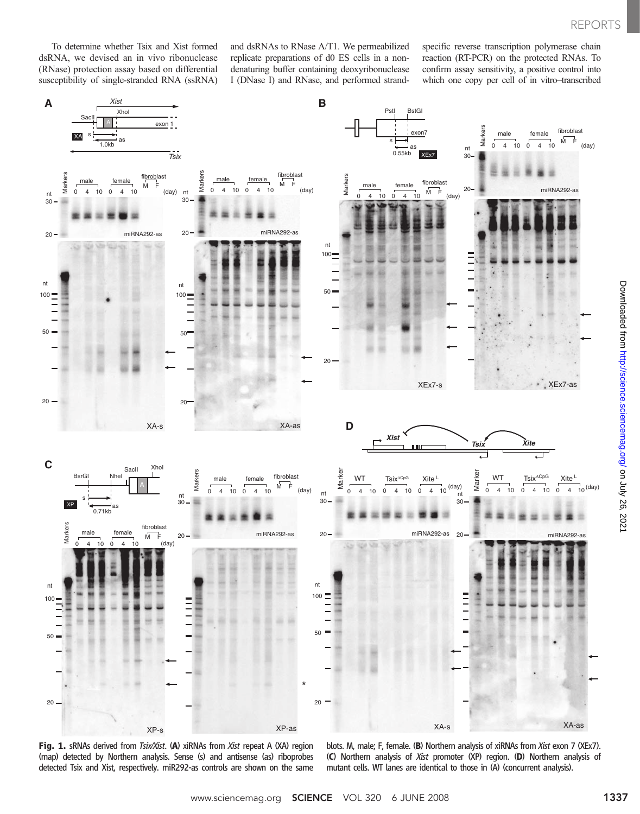To determine whether Tsix and Xist formed dsRNA, we devised an in vivo ribonuclease (RNase) protection assay based on differential susceptibility of single-stranded RNA (ssRNA)

and dsRNAs to RNase A/T1. We permeabilized replicate preparations of d0 ES cells in a nondenaturing buffer containing deoxyribonuclease I (DNase I) and RNase, and performed strandspecific reverse transcription polymerase chain reaction (RT-PCR) on the protected RNAs. To confirm assay sensitivity, a positive control into which one copy per cell of in vitro–transcribed



blots. M, male; F, female. (B) Northern analysis of xiRNAs from Xist exon 7 (XEx7). (C) Northern analysis of Xist promoter (XP) region. (D) Northern analysis of mutant cells. WT lanes are identical to those in (A) (concurrent analysis).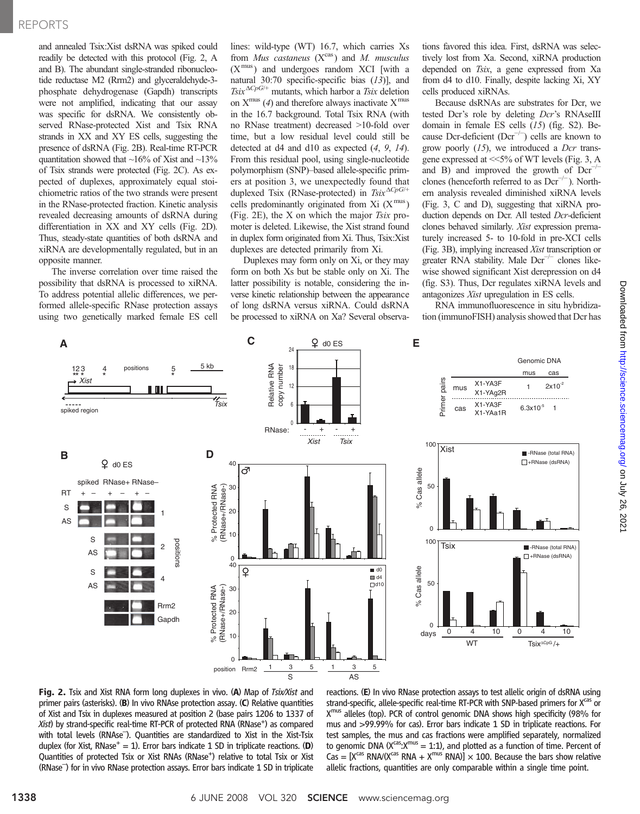## REPORTS

and annealed Tsix:Xist dsRNA was spiked could readily be detected with this protocol (Fig. 2, A and B). The abundant single-stranded ribonucleotide reductase M2 (Rrm2) and glyceraldehyde-3 phosphate dehydrogenase (Gapdh) transcripts were not amplified, indicating that our assay was specific for dsRNA. We consistently observed RNase-protected Xist and Tsix RNA strands in XX and XY ES cells, suggesting the presence of dsRNA (Fig. 2B). Real-time RT-PCR quantitation showed that  $\sim$ 16% of Xist and  $\sim$ 13% of Tsix strands were protected (Fig. 2C). As expected of duplexes, approximately equal stoichiometric ratios of the two strands were present in the RNase-protected fraction. Kinetic analysis revealed decreasing amounts of dsRNA during differentiation in XX and XY cells (Fig. 2D). Thus, steady-state quantities of both dsRNA and xiRNA are developmentally regulated, but in an opposite manner.

The inverse correlation over time raised the possibility that dsRNA is processed to xiRNA. To address potential allelic differences, we performed allele-specific RNase protection assays using two genetically marked female ES cell lines: wild-type (WT) 16.7, which carries Xs from Mus castaneus  $(X^{cas})$  and M. musculus  $(X^{mus})$  and undergoes random XCI [with a natural 30:70 specific-specific bias (13)], and<br> $T_{\text{six}}^{\Delta CpG/+}$  mutants which harbor a Tsix deletion  $Tsix^{\Delta CpG/+}$  mutants, which harbor a Tsix deletion<br>on  $X^{mus}(A)$  and therefore always inactivate  $X^{mus}$ on  $X^{mus}$  (4) and therefore always inactivate  $X^{mus}$ in the 16.7 background. Total Tsix RNA (with no RNase treatment) decreased >10-fold over time, but a low residual level could still be detected at d4 and d10 as expected (4, 9, 14). From this residual pool, using single-nucleotide polymorphism (SNP)–based allele-specific primers at position 3, we unexpectedly found that duplexed Tsix (RNase-protected) in  $T\text{s}ix$ <sup> $\Delta CpG/+$ </sup> cells predominantly originated from Xi  $(X^{mus})$ (Fig. 2E), the X on which the major Tsix promoter is deleted. Likewise, the Xist strand found in duplex form originated from Xi. Thus, Tsix:Xist duplexes are detected primarily from Xi.

Duplexes may form only on Xi, or they may form on both Xs but be stable only on Xi. The latter possibility is notable, considering the inverse kinetic relationship between the appearance of long dsRNA versus xiRNA. Could dsRNA be processed to xiRNA on Xa? Several observations favored this idea. First, dsRNA was selectively lost from Xa. Second, xiRNA production depended on Tsix, a gene expressed from Xa from d4 to d10. Finally, despite lacking Xi, XY cells produced xiRNAs.

Because dsRNAs are substrates for Dcr, we tested Dcr's role by deleting Dcr's RNAseIII domain in female ES cells (15) (fig. S2). Because Dcr-deficient (Dcr−/<sup>−</sup> ) cells are known to grow poorly  $(15)$ , we introduced a Dcr transgene expressed at <<5% of WT levels (Fig. 3, A and B) and improved the growth of  $Der^{-1}$ clones (henceforth referred to as  $Der^{-/-}$ ). Northern analysis revealed diminished xiRNA levels (Fig. 3, C and D), suggesting that xiRNA production depends on Dcr. All tested Dcr-deficient clones behaved similarly. Xist expression prematurely increased 5- to 10-fold in pre-XCI cells (Fig. 3B), implying increased Xist transcription or greater RNA stability. Male  $Der^{-/-}$  clones likewise showed significant Xist derepression on d4 (fig. S3). Thus, Dcr regulates xiRNA levels and antagonizes Xist upregulation in ES cells.

RNA immunofluorescence in situ hybridization (immunoFISH) analysis showed that Dcr has



reactions. (E) In vivo RNase protection assays to test allelic origin of dsRNA using strand-specific, allele-specific real-time RT-PCR with SNP-based primers for X<sup>cas</sup> or X<sup>mus</sup> alleles (top). PCR of control genomic DNA shows high specificity (98% for mus and >99.99% for cas). Error bars indicate 1 SD in triplicate reactions. For test samples, the mus and cas fractions were amplified separately, normalized to genomic DNA ( $X^{cas}$ : $X^{mus}$  = 1:1), and plotted as a function of time. Percent of  $\text{Cas} = [X^{\text{cas}} \text{ RNA}/(X^{\text{cas}} \text{ RNA} + X^{\text{mus}} \text{ RNA})] \times 100$ . Because the bars show relative allelic fractions, quantities are only comparable within a single time point.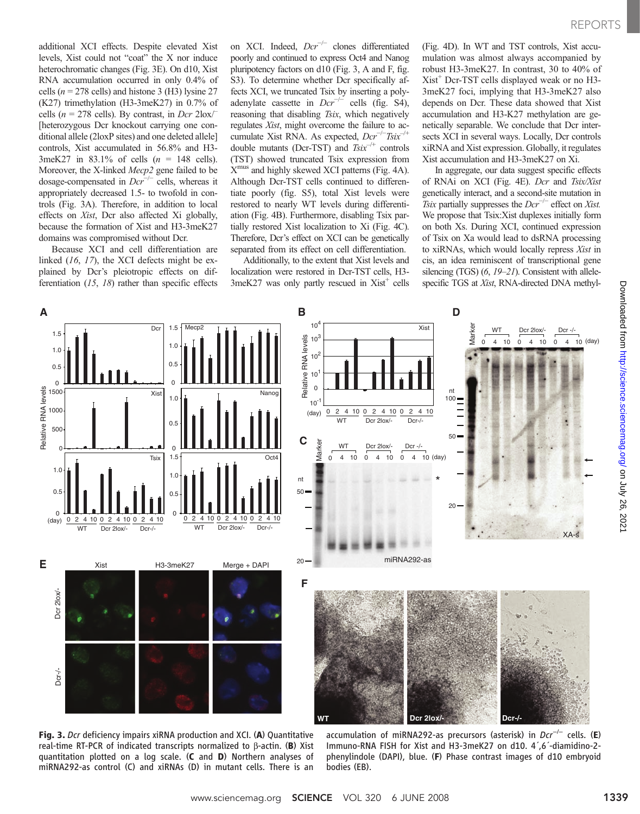additional XCI effects. Despite elevated Xist levels, Xist could not "coat" the X nor induce heterochromatic changes (Fig. 3E). On d10, Xist RNA accumulation occurred in only 0.4% of cells ( $n = 278$  cells) and histone 3 (H3) lysine 27 (K27) trimethylation (H3-3meK27) in 0.7% of cells ( $n = 278$  cells). By contrast, in Dcr 2lox/ [heterozygous Dcr knockout carrying one conditional allele (2loxP sites) and one deleted allele] controls, Xist accumulated in 56.8% and H3- 3meK27 in 83.1% of cells  $(n = 148$  cells). Moreover, the X-linked Mecp2 gene failed to be dosage-compensated in  $Der^{-/-}$  cells, whereas it appropriately decreased 1.5- to twofold in controls (Fig. 3A). Therefore, in addition to local effects on Xist, Dcr also affected Xi globally, because the formation of Xist and H3-3meK27 domains was compromised without Dcr.

Because XCI and cell differentiation are linked (16, 17), the XCI defects might be explained by Dcr's pleiotropic effects on differentiation (15, 18) rather than specific effects

on XCI. Indeed, Dcr−/<sup>−</sup> clones differentiated poorly and continued to express Oct4 and Nanog pluripotency factors on d10 (Fig. 3, A and F, fig. S3). To determine whether Dcr specifically affects XCI, we truncated Tsix by inserting a polyadenylate cassette in  $Der^{-/-}$  cells (fig. S4), reasoning that disabling Tsix, which negatively regulates Xist, might overcome the failure to accumulate Xist RNA. As expected,  $Der^{-/-}Tsix^{-/+}$ <br>double mutants (Dcr-TST) and  $Tsix^{-/+}$  controls double mutants (Dcr-TST) and  $Tsix^{-/+}$  controls (TST) showed truncated Tsix expression from  $X<sup>mus</sup>$  and highly skewed XCI patterns (Fig. 4A). Although Dcr-TST cells continued to differentiate poorly (fig. S5), total Xist levels were restored to nearly WT levels during differentiation (Fig. 4B). Furthermore, disabling Tsix partially restored Xist localization to Xi (Fig. 4C). Therefore, Dcr's effect on XCI can be genetically separated from its effect on cell differentiation.

Additionally, to the extent that Xist levels and localization were restored in Dcr-TST cells, H3-  $3$ meK27 was only partly rescued in  $Xist^+$  cells

(Fig. 4D). In WT and TST controls, Xist accumulation was almost always accompanied by robust H3-3meK27. In contrast, 30 to 40% of  $Xist^+$  Dcr-TST cells displayed weak or no H3-3meK27 foci, implying that H3-3meK27 also depends on Dcr. These data showed that Xist accumulation and H3-K27 methylation are genetically separable. We conclude that Dcr intersects XCI in several ways. Locally, Dcr controls xiRNA and Xist expression. Globally, it regulates Xist accumulation and H3-3meK27 on Xi.

In aggregate, our data suggest specific effects of RNAi on XCI (Fig. 4E). Dcr and Tsix/Xist genetically interact, and a second-site mutation in Tsix partially suppresses the  $Der^{-/-}$  effect on Xist. We propose that Tsix:Xist duplexes initially form on both Xs. During XCI, continued expression of Tsix on Xa would lead to dsRNA processing to xiRNAs, which would locally repress Xist in cis, an idea reminiscent of transcriptional gene silencing (TGS) (6, 19–21). Consistent with allelespecific TGS at Xist, RNA-directed DNA methyl-



Fig. 3. Dcr deficiency impairs xiRNA production and XCI. (A) Quantitative real-time RT-PCR of indicated transcripts normalized to  $\beta$ -actin. (B) Xist quantitation plotted on a log scale. (C and D) Northern analyses of miRNA292-as control (C) and xiRNAs (D) in mutant cells. There is an

accumulation of miRNA292-as precursors (asterisk) in Dcr<sup>−/−</sup> cells. (**E**) Immuno-RNA FISH for Xist and H3-3meK27 on d10. 4´,6´-diamidino-2 phenylindole (DAPI), blue. (F) Phase contrast images of d10 embryoid bodies (EB).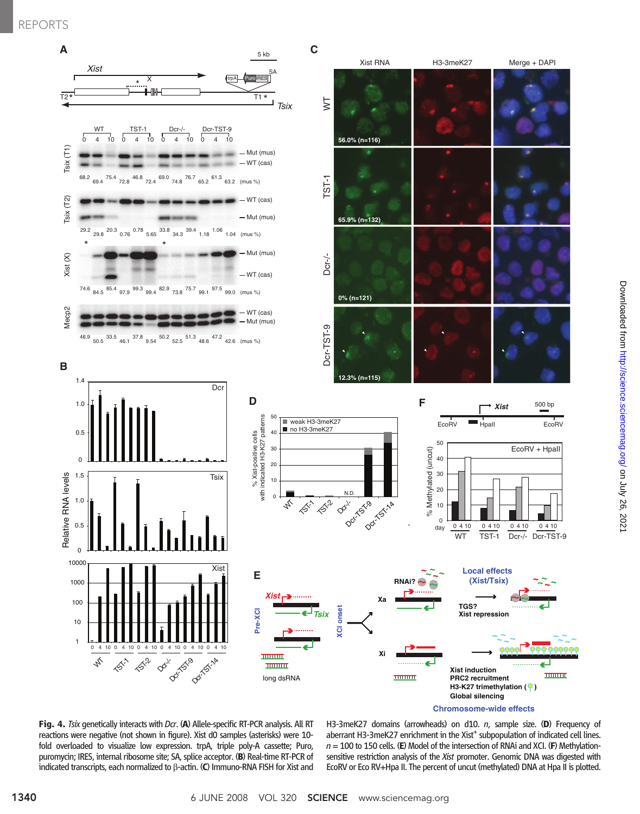### REPORTS



Fig. 4. Tsix genetically interacts with Dcr. (A) Allele-specific RT-PCR analysis. All RT reactions were negative (not shown in figure). Xist d0 samples (asterisks) were 10 fold overloaded to visualize low expression. trpA, triple poly-A cassette; Puro, puromycin; IRES, internal ribosome site; SA, splice acceptor. (B) Real-time RT-PCR of indicated transcripts, each normalized to  $\beta$ -actin. (C) Immuno-RNA FISH for Xist and

H3-3meK27 domains (arrowheads) on d10. n, sample size. (D) Frequency of aberrant H3-3meK27 enrichment in the Xist<sup>+</sup> subpopulation of indicated cell lines.  $n = 100$  to 150 cells. (E) Model of the intersection of RNAi and XCI. (F) Methylationsensitive restriction analysis of the Xist promoter. Genomic DNA was digested with EcoRV or Eco RV+Hpa II. The percent of uncut (methylated) DNA at Hpa II is plotted.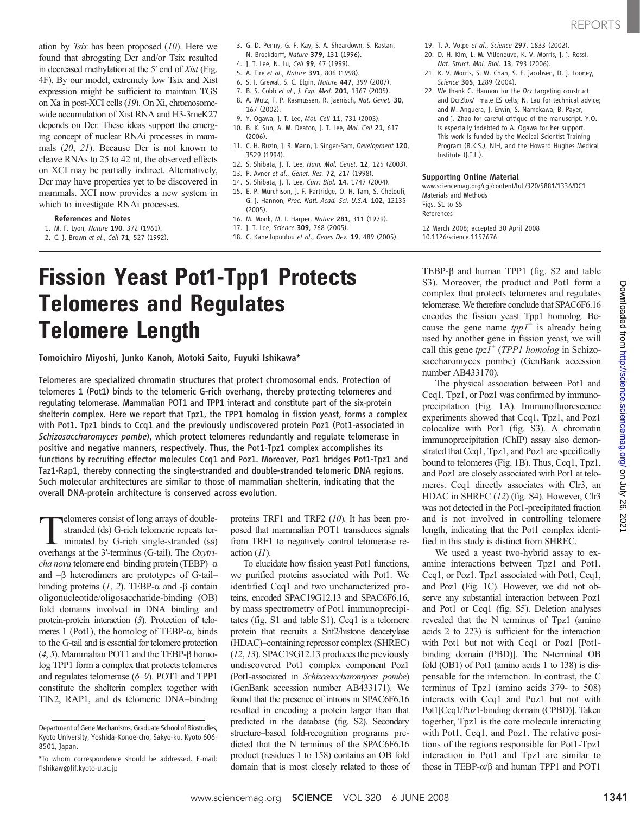ation by Tsix has been proposed  $(10)$ . Here we found that abrogating Dcr and/or Tsix resulted in decreased methylation at the 5′ end of Xist (Fig. 4F). By our model, extremely low Tsix and Xist expression might be sufficient to maintain TGS on Xa in post-XCI cells (19). On Xi, chromosomewide accumulation of Xist RNA and H3-3meK27 depends on Dcr. These ideas support the emerging concept of nuclear RNAi processes in mammals (20, 21). Because Dcr is not known to cleave RNAs to 25 to 42 nt, the observed effects on XCI may be partially indirect. Alternatively, Dcr may have properties yet to be discovered in mammals. XCI now provides a new system in which to investigate RNAi processes.

- References and Notes
- 1. M. F. Lyon, Nature 190, 372 (1961).
- 2. C. J. Brown et al., Cell 71, 527 (1992).
- 3. G. D. Penny, G. F. Kay, S. A. Sheardown, S. Rastan, N. Brockdorff, Nature 379, 131 (1996).
- 4. J. T. Lee, N. Lu, Cell 99, 47 (1999).
- 5. A. Fire et al., Nature 391, 806 (1998).
- 6. S. I. Grewal, S. C. Elgin, Nature 447, 399 (2007).
- 7. B. S. Cobb et al., J. Exp. Med. 201, 1367 (2005).
- 8. A. Wutz, T. P. Rasmussen, R. Jaenisch, Nat. Genet. 30, 167 (2002).
- 9. Y. Ogawa, J. T. Lee, Mol. Cell 11, 731 (2003).
- 10. B. K. Sun, A. M. Deaton, J. T. Lee, Mol. Cell 21, 617
- (2006). 11. C. H. Buzin, J. R. Mann, J. Singer-Sam, Development 120, 3529 (1994).
- 12. S. Shibata, J. T. Lee, Hum. Mol. Genet. 12, 125 (2003).
- 13. P. Avner et al., Genet. Res. 72, 217 (1998).
- 14. S. Shibata, J. T. Lee, Curr. Biol. 14, 1747 (2004).
- 15. E. P. Murchison, J. F. Partridge, O. H. Tam, S. Cheloufi, G. J. Hannon, Proc. Natl. Acad. Sci. U.S.A. 102, 12135 (2005).
- 16. M. Monk, M. I. Harper, Nature 281, 311 (1979).
- 17. J. T. Lee, Science 309, 768 (2005).
- 18. C. Kanellopoulou et al., Genes Dev. 19, 489 (2005).

## Fission Yeast Pot1-Tpp1 Protects Telomeres and Regulates Telomere Length

Tomoichiro Miyoshi, Junko Kanoh, Motoki Saito, Fuyuki Ishikawa\*

Telomeres are specialized chromatin structures that protect chromosomal ends. Protection of telomeres 1 (Pot1) binds to the telomeric G-rich overhang, thereby protecting telomeres and regulating telomerase. Mammalian POT1 and TPP1 interact and constitute part of the six-protein shelterin complex. Here we report that Tpz1, the TPP1 homolog in fission yeast, forms a complex with Pot1. Tpz1 binds to Ccq1 and the previously undiscovered protein Poz1 (Pot1-associated in Schizosaccharomyces pombe), which protect telomeres redundantly and regulate telomerase in positive and negative manners, respectively. Thus, the Pot1-Tpz1 complex accomplishes its functions by recruiting effector molecules Ccq1 and Poz1. Moreover, Poz1 bridges Pot1-Tpz1 and Taz1-Rap1, thereby connecting the single-stranded and double-stranded telomeric DNA regions. Such molecular architectures are similar to those of mammalian shelterin, indicating that the overall DNA-protein architecture is conserved across evolution.

Telomeres consist of long arrays of doublestranded (ds) G-rich telomeric repeats terminated by G-rich single-stranded (ss) overhangs at the 3′-terminus (G-tail). The Oxytricha nova telomere end-binding protein (TEBP)- $\alpha$ and  $-\beta$  heterodimers are prototypes of G-tailbinding proteins  $(1, 2)$ . TEBP- $\alpha$  and - $\beta$  contain oligonucleotide/oligosaccharide-binding (OB) fold domains involved in DNA binding and protein-protein interaction (3). Protection of telomeres 1 (Pot1), the homolog of TEBP- $\alpha$ , binds to the G-tail and is essential for telomere protection (4, 5). Mammalian POT1 and the TEBP- $\beta$  homolog TPP1 form a complex that protects telomeres and regulates telomerase (6–9). POT1 and TPP1 constitute the shelterin complex together with TIN2, RAP1, and ds telomeric DNA–binding

proteins TRF1 and TRF2 (10). It has been proposed that mammalian POT1 transduces signals from TRF1 to negatively control telomerase reaction (11).

To elucidate how fission yeast Pot1 functions, we purified proteins associated with Pot1. We identified Ccq1 and two uncharacterized proteins, encoded SPAC19G12.13 and SPAC6F6.16, by mass spectrometry of Pot1 immunoprecipitates (fig. S1 and table S1). Ccq1 is a telomere protein that recruits a Snf2/histone deacetylase (HDAC)–containing repressor complex (SHREC) (12, 13). SPAC19G12.13 produces the previously undiscovered Pot1 complex component Poz1 (Pot1-associated in Schizosaccharomyces pombe) (GenBank accession number AB433171). We found that the presence of introns in SPAC6F6.16 resulted in encoding a protein larger than that predicted in the database (fig. S2). Secondary structure–based fold-recognition programs predicted that the N terminus of the SPAC6F6.16 product (residues 1 to 158) contains an OB fold domain that is most closely related to those of

- 19. T. A. Volpe et al., Science 297, 1833 (2002).
- 20. D. H. Kim, L. M. Villeneuve, K. V. Morris, J. J. Rossi, Nat. Struct. Mol. Biol. 13, 793 (2006).
- 21. K. V. Morris, S. W. Chan, S. E. Jacobsen, D. J. Looney, Science 305, 1289 (2004).
- 22. We thank G. Hannon for the Dcr targeting construct and Dcr2lox/<sup>-</sup> male ES cells; N. Lau for technical advice; and M. Anguera, J. Erwin, S. Namekawa, B. Payer, and J. Zhao for careful critique of the manuscript. Y.O. is especially indebted to A. Ogawa for her support. This work is funded by the Medical Scientist Training Program (B.K.S.), NIH, and the Howard Hughes Medical Institute (J.T.L.).

#### Supporting Online Material

www.sciencemag.org/cgi/content/full/320/5881/1336/DC1 Materials and Methods Figs. S1 to S5 References

12 March 2008; accepted 30 April 2008 10.1126/science.1157676

TEBP-b and human TPP1 (fig. S2 and table S3). Moreover, the product and Pot1 form a complex that protects telomeres and regulates telomerase.We therefore conclude that SPAC6F6.16 encodes the fission yeast Tpp1 homolog. Because the gene name  $tpp1^+$  is already being used by another gene in fission yeast, we will call this gene  $tpz1^+$  (TPP1 homolog in Schizosaccharomyces pombe) (GenBank accession number AB433170).

The physical association between Pot1 and Ccq1, Tpz1, or Poz1 was confirmed by immunoprecipitation (Fig. 1A). Immunofluorescence experiments showed that Ccq1, Tpz1, and Poz1 colocalize with Pot1 (fig. S3). A chromatin immunoprecipitation (ChIP) assay also demonstrated that Ccq1, Tpz1, and Poz1 are specifically bound to telomeres (Fig. 1B). Thus, Ccq1, Tpz1, and Poz1 are closely associated with Pot1 at telomeres. Ccq1 directly associates with Clr3, an HDAC in SHREC (12) (fig. S4). However, Clr3 was not detected in the Pot1-precipitated fraction and is not involved in controlling telomere length, indicating that the Pot1 complex identified in this study is distinct from SHREC.

We used a yeast two-hybrid assay to examine interactions between Tpz1 and Pot1, Ccq1, or Poz1. Tpz1 associated with Pot1, Ccq1, and Poz1 (Fig. 1C). However, we did not observe any substantial interaction between Poz1 and Pot1 or Ccq1 (fig. S5). Deletion analyses revealed that the N terminus of Tpz1 (amino acids 2 to 223) is sufficient for the interaction with Pot1 but not with Ccq1 or Poz1 [Pot1 binding domain (PBD)]. The N-terminal OB fold (OB1) of Pot1 (amino acids 1 to 138) is dispensable for the interaction. In contrast, the C terminus of Tpz1 (amino acids 379- to 508) interacts with Ccq1 and Poz1 but not with Pot1[Ccq1/Poz1-binding domain (CPBD)]. Taken together, Tpz1 is the core molecule interacting with Pot1, Ccq1, and Poz1. The relative positions of the regions responsible for Pot1-Tpz1 interaction in Pot1 and Tpz1 are similar to those in TEBP- $\alpha/\beta$  and human TPP1 and POT1

Department of Gene Mechanisms, Graduate School of Biostudies, Kyoto University, Yoshida-Konoe-cho, Sakyo-ku, Kyoto 606- 8501, Japan.

<sup>\*</sup>To whom correspondence should be addressed. E-mail: fishikaw@lif.kyoto-u.ac.jp